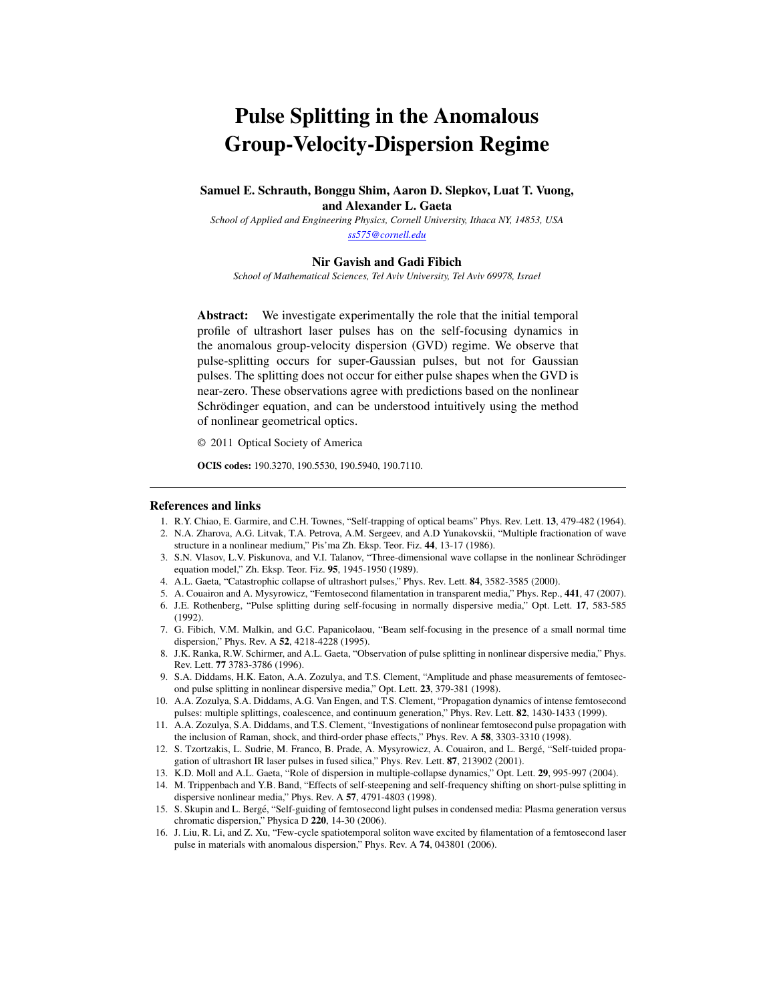## Pulse Splitting in the Anomalous Group-Velocity-Dispersion Regime

Samuel E. Schrauth, Bonggu Shim, Aaron D. Slepkov, Luat T. Vuong, and Alexander L. Gaeta

*School of Applied and Engineering Physics, Cornell University, Ithaca NY, 14853, USA ss575@cornell.edu*

## Nir Gavish and Gadi Fibich

*School of Mathematical Sciences, Tel Aviv University, Tel Aviv 69978, Israel*

Abstract: We investigate experimentally the role that the initial temporal profile of ultrashort laser pulses has on the self-focusing dynamics in the anomalous group-velocity dispersion (GVD) regime. We observe that pulse-splitting occurs for super-Gaussian pulses, but not for Gaussian pulses. The splitting does not occur for either pulse shapes when the GVD is near-zero. These observations agree with predictions based on the nonlinear Schrödinger equation, and can be understood intuitively using the method of nonlinear geometrical optics.

© 2011 Optical Society of America

OCIS codes: 190.3270, 190.5530, 190.5940, 190.7110.

## References and links

- 1. R.Y. Chiao, E. Garmire, and C.H. Townes, "Self-trapping of optical beams" Phys. Rev. Lett. 13, 479-482 (1964).
- 2. N.A. Zharova, A.G. Litvak, T.A. Petrova, A.M. Sergeev, and A.D Yunakovskii, "Multiple fractionation of wave structure in a nonlinear medium," Pis'ma Zh. Eksp. Teor. Fiz. 44, 13-17 (1986).
- 3. S.N. Vlasov, L.V. Piskunova, and V.I. Talanov, "Three-dimensional wave collapse in the nonlinear Schrödinger equation model," Zh. Eksp. Teor. Fiz. 95, 1945-1950 (1989).
- 4. A.L. Gaeta, "Catastrophic collapse of ultrashort pulses," Phys. Rev. Lett. 84, 3582-3585 (2000).
- 5. A. Couairon and A. Mysyrowicz, "Femtosecond filamentation in transparent media," Phys. Rep., 441, 47 (2007).
- 6. J.E. Rothenberg, "Pulse splitting during self-focusing in normally dispersive media," Opt. Lett. 17, 583-585 (1992).
- 7. G. Fibich, V.M. Malkin, and G.C. Papanicolaou, "Beam self-focusing in the presence of a small normal time dispersion," Phys. Rev. A 52, 4218-4228 (1995).
- 8. J.K. Ranka, R.W. Schirmer, and A.L. Gaeta, "Observation of pulse splitting in nonlinear dispersive media," Phys. Rev. Lett. 77 3783-3786 (1996).
- 9. S.A. Diddams, H.K. Eaton, A.A. Zozulya, and T.S. Clement, "Amplitude and phase measurements of femtosecond pulse splitting in nonlinear dispersive media," Opt. Lett. 23, 379-381 (1998).
- 10. A.A. Zozulya, S.A. Diddams, A.G. Van Engen, and T.S. Clement, "Propagation dynamics of intense femtosecond pulses: multiple splittings, coalescence, and continuum generation," Phys. Rev. Lett. 82, 1430-1433 (1999).
- 11. A.A. Zozulya, S.A. Diddams, and T.S. Clement, "Investigations of nonlinear femtosecond pulse propagation with the inclusion of Raman, shock, and third-order phase effects," Phys. Rev. A 58, 3303-3310 (1998).
- 12. S. Tzortzakis, L. Sudrie, M. Franco, B. Prade, A. Mysyrowicz, A. Couairon, and L. Berge, "Self-tuided propa- ´ gation of ultrashort IR laser pulses in fused silica," Phys. Rev. Lett. 87, 213902 (2001).
- 13. K.D. Moll and A.L. Gaeta, "Role of dispersion in multiple-collapse dynamics," Opt. Lett. 29, 995-997 (2004).
- 14. M. Trippenbach and Y.B. Band, "Effects of self-steepening and self-frequency shifting on short-pulse splitting in dispersive nonlinear media," Phys. Rev. A 57, 4791-4803 (1998).
- 15. S. Skupin and L. Berge, "Self-guiding of femtosecond light pulses in condensed media: Plasma generation versus ´ chromatic dispersion," Physica D 220, 14-30 (2006).
- 16. J. Liu, R. Li, and Z. Xu, "Few-cycle spatiotemporal soliton wave excited by filamentation of a femtosecond laser pulse in materials with anomalous dispersion," Phys. Rev. A 74, 043801 (2006).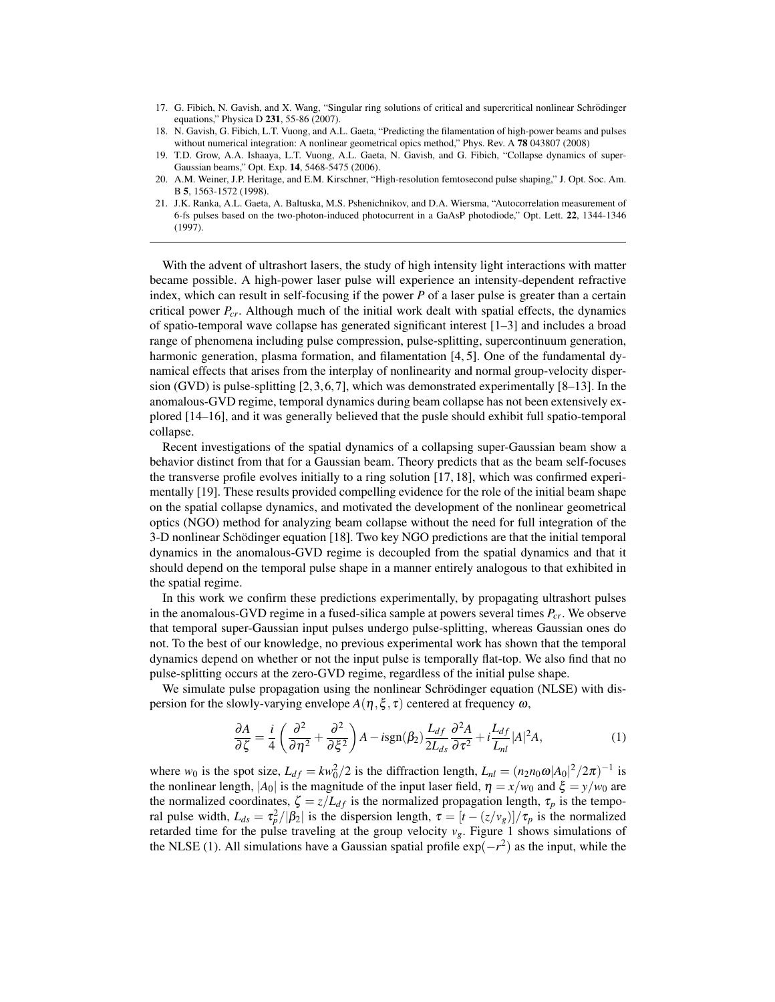- 17. G. Fibich, N. Gavish, and X. Wang, "Singular ring solutions of critical and supercritical nonlinear Schrödinger equations," Physica D 231, 55-86 (2007).
- 18. N. Gavish, G. Fibich, L.T. Vuong, and A.L. Gaeta, "Predicting the filamentation of high-power beams and pulses without numerical integration: A nonlinear geometrical opics method," Phys. Rev. A 78 043807 (2008)
- 19. T.D. Grow, A.A. Ishaaya, L.T. Vuong, A.L. Gaeta, N. Gavish, and G. Fibich, "Collapse dynamics of super-Gaussian beams," Opt. Exp. 14, 5468-5475 (2006).
- 20. A.M. Weiner, J.P. Heritage, and E.M. Kirschner, "High-resolution femtosecond pulse shaping," J. Opt. Soc. Am. B 5, 1563-1572 (1998).
- 21. J.K. Ranka, A.L. Gaeta, A. Baltuska, M.S. Pshenichnikov, and D.A. Wiersma, "Autocorrelation measurement of 6-fs pulses based on the two-photon-induced photocurrent in a GaAsP photodiode," Opt. Lett. 22, 1344-1346 (1997).

With the advent of ultrashort lasers, the study of high intensity light interactions with matter became possible. A high-power laser pulse will experience an intensity-dependent refractive index, which can result in self-focusing if the power *P* of a laser pulse is greater than a certain critical power *Pcr*. Although much of the initial work dealt with spatial effects, the dynamics of spatio-temporal wave collapse has generated significant interest [1–3] and includes a broad range of phenomena including pulse compression, pulse-splitting, supercontinuum generation, harmonic generation, plasma formation, and filamentation [4, 5]. One of the fundamental dynamical effects that arises from the interplay of nonlinearity and normal group-velocity dispersion (GVD) is pulse-splitting  $[2, 3, 6, 7]$ , which was demonstrated experimentally  $[8-13]$ . In the anomalous-GVD regime, temporal dynamics during beam collapse has not been extensively explored [14–16], and it was generally believed that the pusle should exhibit full spatio-temporal collapse.

Recent investigations of the spatial dynamics of a collapsing super-Gaussian beam show a behavior distinct from that for a Gaussian beam. Theory predicts that as the beam self-focuses the transverse profile evolves initially to a ring solution [17, 18], which was confirmed experimentally [19]. These results provided compelling evidence for the role of the initial beam shape on the spatial collapse dynamics, and motivated the development of the nonlinear geometrical optics (NGO) method for analyzing beam collapse without the need for full integration of the 3-D nonlinear Schodinger equation [18]. Two key NGO predictions are that the initial temporal ¨ dynamics in the anomalous-GVD regime is decoupled from the spatial dynamics and that it should depend on the temporal pulse shape in a manner entirely analogous to that exhibited in the spatial regime.

In this work we confirm these predictions experimentally, by propagating ultrashort pulses in the anomalous-GVD regime in a fused-silica sample at powers several times *Pcr*. We observe that temporal super-Gaussian input pulses undergo pulse-splitting, whereas Gaussian ones do not. To the best of our knowledge, no previous experimental work has shown that the temporal dynamics depend on whether or not the input pulse is temporally flat-top. We also find that no pulse-splitting occurs at the zero-GVD regime, regardless of the initial pulse shape.

We simulate pulse propagation using the nonlinear Schrödinger equation (NLSE) with dispersion for the slowly-varying envelope  $A(\eta, \xi, \tau)$  centered at frequency  $\omega$ ,

$$
\frac{\partial A}{\partial \zeta} = \frac{i}{4} \left( \frac{\partial^2}{\partial \eta^2} + \frac{\partial^2}{\partial \xi^2} \right) A - i \text{sgn}(\beta_2) \frac{L_{df}}{2L_{ds}} \frac{\partial^2 A}{\partial \tau^2} + i \frac{L_{df}}{L_{nl}} |A|^2 A,\tag{1}
$$

where *w*<sub>0</sub> is the spot size,  $L_{df} = kw_0^2/2$  is the diffraction length,  $L_{nl} = (n_2 n_0 \omega |A_0|^2/2\pi)^{-1}$  is the nonlinear length,  $|A_0|$  is the magnitude of the input laser field,  $\eta = x/w_0$  and  $\xi = y/w_0$  are the normalized coordinates,  $\zeta = z/L_{df}$  is the normalized propagation length,  $\tau_p$  is the temporal pulse width,  $L_{ds} = \tau_p^2 / |\beta_2|$  is the dispersion length,  $\tau = \frac{t - (z/v_g)}{\tau_p}$  is the normalized retarded time for the pulse traveling at the group velocity  $v<sub>g</sub>$ . Figure 1 shows simulations of the NLSE (1). All simulations have a Gaussian spatial profile exp(*−r* 2 ) as the input, while the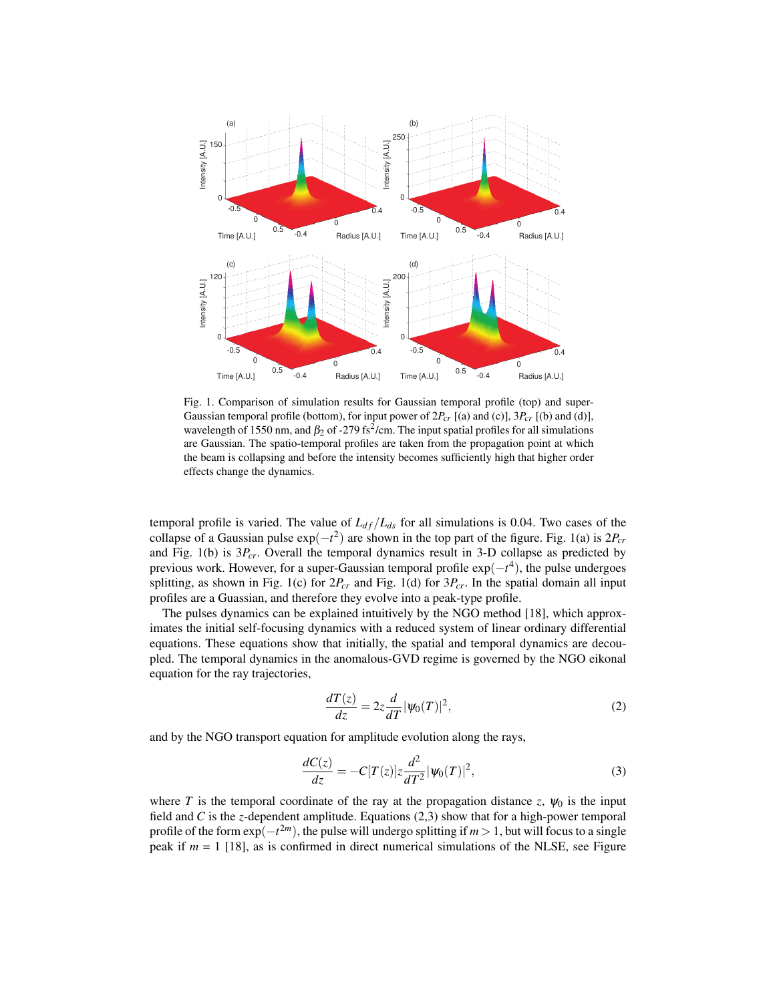

Fig. 1. Comparison of simulation results for Gaussian temporal profile (top) and super-Gaussian temporal profile (bottom), for input power of 2*Pcr* [(a) and (c)], 3*Pcr* [(b) and (d)], wavelength of 1550 nm, and  $\beta_2$  of -279 fs<sup>2</sup>/cm. The input spatial profiles for all simulations are Gaussian. The spatio-temporal profiles are taken from the propagation point at which the beam is collapsing and before the intensity becomes sufficiently high that higher order effects change the dynamics.

temporal profile is varied. The value of  $L_{df}/L_{ds}$  for all simulations is 0.04. Two cases of the collapse of a Gaussian pulse exp(*−t* 2 ) are shown in the top part of the figure. Fig. 1(a) is 2*Pcr* and Fig.  $1(b)$  is  $3P_{cr}$ . Overall the temporal dynamics result in 3-D collapse as predicted by previous work. However, for a super-Gaussian temporal profile exp(*−t* 4 ), the pulse undergoes splitting, as shown in Fig. 1(c) for 2*Pcr* and Fig. 1(d) for 3*Pcr*. In the spatial domain all input profiles are a Guassian, and therefore they evolve into a peak-type profile.

The pulses dynamics can be explained intuitively by the NGO method [18], which approximates the initial self-focusing dynamics with a reduced system of linear ordinary differential equations. These equations show that initially, the spatial and temporal dynamics are decoupled. The temporal dynamics in the anomalous-GVD regime is governed by the NGO eikonal equation for the ray trajectories,

$$
\frac{dT(z)}{dz} = 2z\frac{d}{dT}|\psi_0(T)|^2,\tag{2}
$$

and by the NGO transport equation for amplitude evolution along the rays,

$$
\frac{dC(z)}{dz} = -C[T(z)]z\frac{d^2}{dT^2}|\psi_0(T)|^2,
$$
\n(3)

where *T* is the temporal coordinate of the ray at the propagation distance *z*,  $\psi_0$  is the input field and *C* is the *z*-dependent amplitude. Equations (2,3) show that for a high-power temporal profile of the form  $\exp(-t^{2m})$ , the pulse will undergo splitting if *m* > 1, but will focus to a single peak if *m* = 1 [18], as is confirmed in direct numerical simulations of the NLSE, see Figure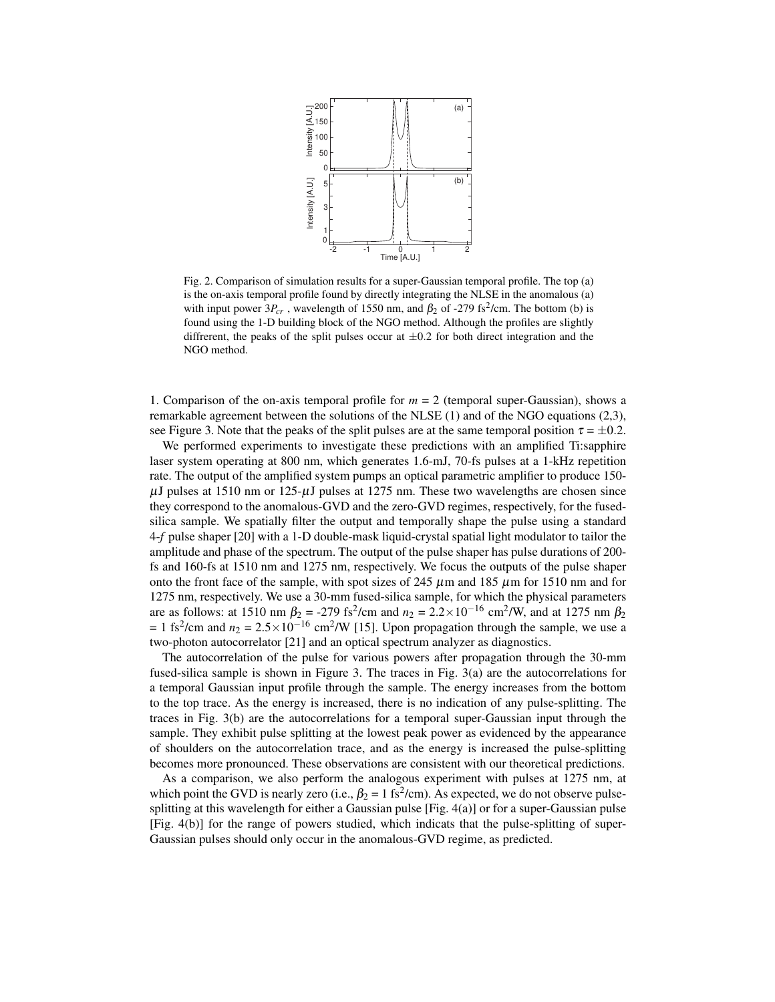

Fig. 2. Comparison of simulation results for a super-Gaussian temporal profile. The top (a) is the on-axis temporal profile found by directly integrating the NLSE in the anomalous (a) with input power  $3P_{cr}$ , wavelength of 1550 nm, and  $\beta_2$  of -279 fs<sup>2</sup>/cm. The bottom (b) is found using the 1-D building block of the NGO method. Although the profiles are slightly diffrerent, the peaks of the split pulses occur at *±*0*.*2 for both direct integration and the NGO method.

1. Comparison of the on-axis temporal profile for *m* = 2 (temporal super-Gaussian), shows a remarkable agreement between the solutions of the NLSE (1) and of the NGO equations (2,3), see Figure 3. Note that the peaks of the split pulses are at the same temporal position  $\tau = \pm 0.2$ .

We performed experiments to investigate these predictions with an amplified Ti:sapphire laser system operating at 800 nm, which generates 1.6-mJ, 70-fs pulses at a 1-kHz repetition rate. The output of the amplified system pumps an optical parametric amplifier to produce 150-  $\mu$ J pulses at 1510 nm or 125- $\mu$ J pulses at 1275 nm. These two wavelengths are chosen since they correspond to the anomalous-GVD and the zero-GVD regimes, respectively, for the fusedsilica sample. We spatially filter the output and temporally shape the pulse using a standard 4-*f* pulse shaper [20] with a 1-D double-mask liquid-crystal spatial light modulator to tailor the amplitude and phase of the spectrum. The output of the pulse shaper has pulse durations of 200 fs and 160-fs at 1510 nm and 1275 nm, respectively. We focus the outputs of the pulse shaper onto the front face of the sample, with spot sizes of 245  $\mu$ m and 185  $\mu$ m for 1510 nm and for 1275 nm, respectively. We use a 30-mm fused-silica sample, for which the physical parameters are as follows: at 1510 nm  $\beta_2 = -279$  fs<sup>2</sup>/cm and  $n_2 = 2.2 \times 10^{-16}$  cm<sup>2</sup>/W, and at 1275 nm  $\beta_2$  $= 1$  fs<sup>2</sup>/cm and  $n_2 = 2.5 \times 10^{-16}$  cm<sup>2</sup>/W [15]. Upon propagation through the sample, we use a two-photon autocorrelator [21] and an optical spectrum analyzer as diagnostics.

The autocorrelation of the pulse for various powers after propagation through the 30-mm fused-silica sample is shown in Figure 3. The traces in Fig. 3(a) are the autocorrelations for a temporal Gaussian input profile through the sample. The energy increases from the bottom to the top trace. As the energy is increased, there is no indication of any pulse-splitting. The traces in Fig. 3(b) are the autocorrelations for a temporal super-Gaussian input through the sample. They exhibit pulse splitting at the lowest peak power as evidenced by the appearance of shoulders on the autocorrelation trace, and as the energy is increased the pulse-splitting becomes more pronounced. These observations are consistent with our theoretical predictions.

As a comparison, we also perform the analogous experiment with pulses at 1275 nm, at which point the GVD is nearly zero (i.e.,  $\beta_2 = 1 \text{ fs}^2/\text{cm}$ ). As expected, we do not observe pulsesplitting at this wavelength for either a Gaussian pulse [Fig. 4(a)] or for a super-Gaussian pulse [Fig. 4(b)] for the range of powers studied, which indicats that the pulse-splitting of super-Gaussian pulses should only occur in the anomalous-GVD regime, as predicted.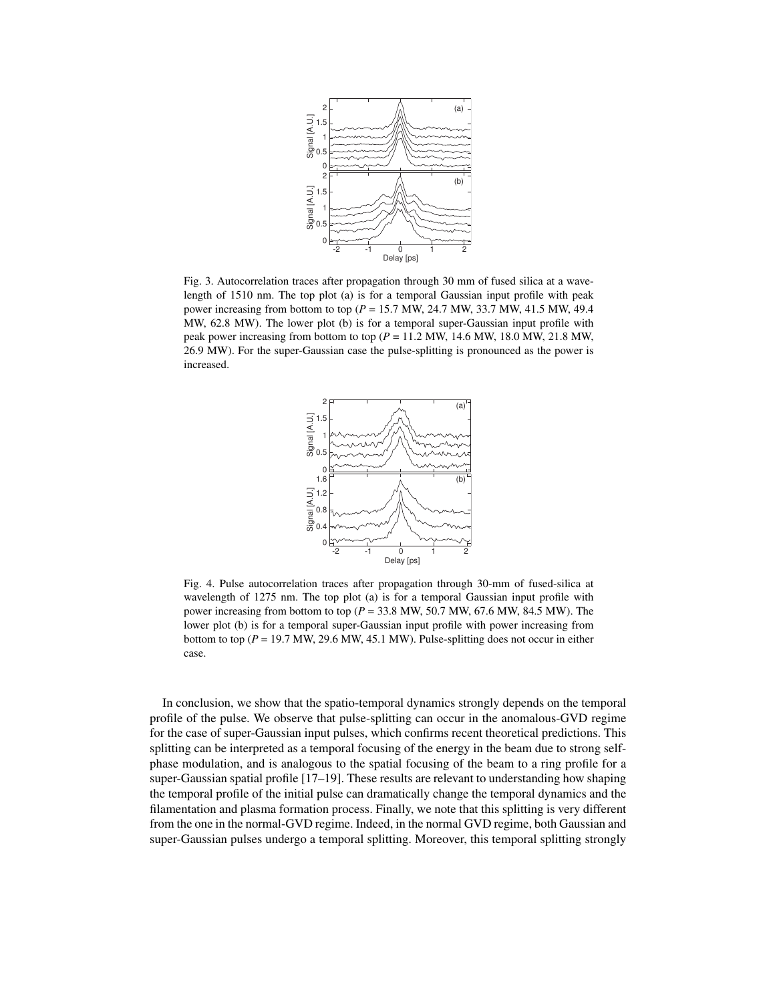

Fig. 3. Autocorrelation traces after propagation through 30 mm of fused silica at a wavelength of 1510 nm. The top plot (a) is for a temporal Gaussian input profile with peak power increasing from bottom to top (*P* = 15.7 MW, 24.7 MW, 33.7 MW, 41.5 MW, 49.4 MW, 62.8 MW). The lower plot (b) is for a temporal super-Gaussian input profile with peak power increasing from bottom to top (*P* = 11.2 MW, 14.6 MW, 18.0 MW, 21.8 MW, 26.9 MW). For the super-Gaussian case the pulse-splitting is pronounced as the power is increased.



Fig. 4. Pulse autocorrelation traces after propagation through 30-mm of fused-silica at wavelength of 1275 nm. The top plot (a) is for a temporal Gaussian input profile with power increasing from bottom to top (*P* = 33.8 MW, 50.7 MW, 67.6 MW, 84.5 MW). The lower plot (b) is for a temporal super-Gaussian input profile with power increasing from bottom to top ( $P = 19.7$  MW, 29.6 MW, 45.1 MW). Pulse-splitting does not occur in either case.

In conclusion, we show that the spatio-temporal dynamics strongly depends on the temporal profile of the pulse. We observe that pulse-splitting can occur in the anomalous-GVD regime for the case of super-Gaussian input pulses, which confirms recent theoretical predictions. This splitting can be interpreted as a temporal focusing of the energy in the beam due to strong selfphase modulation, and is analogous to the spatial focusing of the beam to a ring profile for a super-Gaussian spatial profile [17–19]. These results are relevant to understanding how shaping the temporal profile of the initial pulse can dramatically change the temporal dynamics and the filamentation and plasma formation process. Finally, we note that this splitting is very different from the one in the normal-GVD regime. Indeed, in the normal GVD regime, both Gaussian and super-Gaussian pulses undergo a temporal splitting. Moreover, this temporal splitting strongly